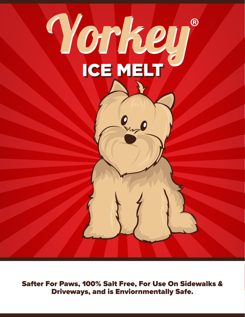

**Safter For Paws, 100% Salt Free, For Use On Sidewalks & Driveways, and is Enviornmentally Safe.**